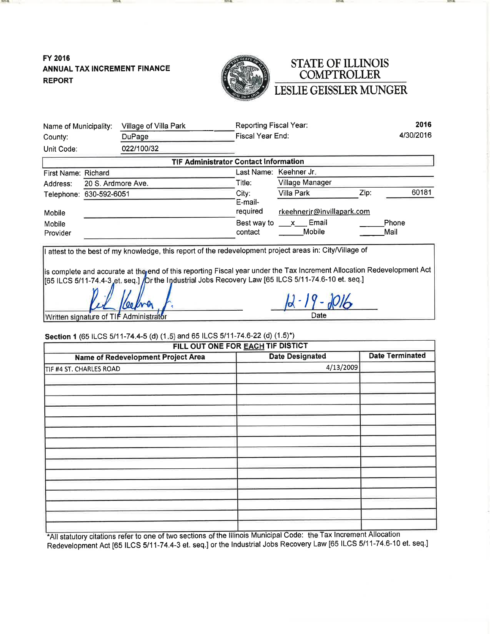FY 2016 ANNUAL TAX INCREMENT FINANCE **REPORT** 

**KATHAI** 



# STATE OF ILLINOIS<br>COMPTROLLER LESLIE GEISSLER MUNGER

| Name of Municipality:                  | Village of Villa Park                                                                                                                                                                                                                                                                                                                               | Reporting Fiscal Year: |                            | 2016                   |
|----------------------------------------|-----------------------------------------------------------------------------------------------------------------------------------------------------------------------------------------------------------------------------------------------------------------------------------------------------------------------------------------------------|------------------------|----------------------------|------------------------|
| County:                                | DuPage                                                                                                                                                                                                                                                                                                                                              | Fiscal Year End:       |                            | 4/30/2016              |
| Unit Code:                             | 022/100/32                                                                                                                                                                                                                                                                                                                                          |                        |                            |                        |
|                                        | <b>TIF Administrator Contact Information</b>                                                                                                                                                                                                                                                                                                        |                        |                            |                        |
| First Name: Richard                    |                                                                                                                                                                                                                                                                                                                                                     |                        | Last Name: Keehner Jr.     |                        |
| Address:                               | 20 S. Ardmore Ave.                                                                                                                                                                                                                                                                                                                                  | Title:                 | Village Manager            |                        |
| Telephone: 630-592-6051                |                                                                                                                                                                                                                                                                                                                                                     | City:                  | <b>Villa Park</b>          | 60181<br>Zip:          |
|                                        |                                                                                                                                                                                                                                                                                                                                                     | E-mail-                |                            |                        |
| Mobile                                 |                                                                                                                                                                                                                                                                                                                                                     | required               | rkeehnerjr@invillapark.com |                        |
| Mobile                                 |                                                                                                                                                                                                                                                                                                                                                     | Best way to            | x Email                    | Phone                  |
| Provider                               |                                                                                                                                                                                                                                                                                                                                                     | contact                | <b>Mobile</b>              | Mail                   |
| Written signature of TIF Administrator | is complete and accurate at the end of this reporting Fiscal year under the Tax Increment Allocation Redevelopment Act<br>[65 ILCS 5/11-74.4-3 et. seq.] /Dr the Industrial Jobs Recovery Law [65 ILCS 5/11-74.6-10 et. seq.]<br>Section 1 (65 ILCS 5/11-74.4-5 (d) (1.5) and 65 ILCS 5/11-74.6-22 (d) (1.5)*)<br>FILL OUT ONE FOR EACH TIF DISTICT |                        | 2-19-2016<br>Date          |                        |
|                                        | <b>Name of Redevelopment Project Area</b>                                                                                                                                                                                                                                                                                                           |                        | <b>Date Designated</b>     | <b>Date Terminated</b> |
| TIF #4 ST. CHARLES ROAD                |                                                                                                                                                                                                                                                                                                                                                     |                        | 4/13/2009                  |                        |
|                                        |                                                                                                                                                                                                                                                                                                                                                     |                        |                            |                        |
|                                        |                                                                                                                                                                                                                                                                                                                                                     |                        |                            |                        |
|                                        |                                                                                                                                                                                                                                                                                                                                                     |                        |                            |                        |
|                                        |                                                                                                                                                                                                                                                                                                                                                     |                        |                            |                        |
|                                        |                                                                                                                                                                                                                                                                                                                                                     |                        |                            |                        |
|                                        |                                                                                                                                                                                                                                                                                                                                                     |                        |                            |                        |
|                                        |                                                                                                                                                                                                                                                                                                                                                     |                        |                            |                        |

\*All statutory citations refer to one of two sections of the Illinois Municipal Code: the Tax Increment Allocation Redevelopment Act [65 ILCS 5/11-74.4-3 et. seq.] or the Industrial Jobs Recovery Law [65 ILCS 5/11-74.6-10 et. seq.]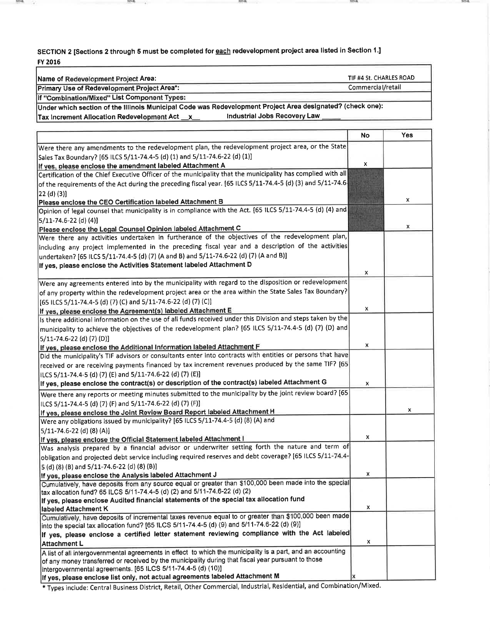SECTION 2 [Sections 2 through 5 must be completed for each redevelopment project area listed in Section 1.] FY 2016

 $-0.00996$ 

**MAR** 

**SPAA** 

 $1000$ 

 $1000$ 

| Name of Redevelopment Project Area:                                                                          | TIF #4 St. CHARLES ROAD |            |
|--------------------------------------------------------------------------------------------------------------|-------------------------|------------|
| Primary Use of Redevelopment Project Area*:                                                                  | Commercial/retail       |            |
| If "Combination/Mixed" List Component Types:                                                                 |                         |            |
| Under which section of the Illinois Municipal Code was Redevelopment Project Area designated? (check one):   |                         |            |
| Industrial Jobs Recovery Law<br>Tax Increment Allocation Redevelopment Act _x_                               |                         |            |
|                                                                                                              |                         | <b>Yes</b> |
|                                                                                                              | No                      |            |
| Were there any amendments to the redevelopment plan, the redevelopment project area, or the State            |                         |            |
| Sales Tax Boundary? [65 ILCS 5/11-74.4-5 (d) (1) and 5/11-74.6-22 (d) (1)]                                   |                         |            |
| If yes, please enclose the amendment labeled Attachment A                                                    | x                       |            |
| Certification of the Chief Executive Officer of the municipality that the municipality has complied with all |                         |            |
| of the requirements of the Act during the preceding fiscal year. [65 ILCS 5/11-74.4-5 (d) (3) and 5/11-74.6  |                         |            |
| 22 (d) (3)]                                                                                                  |                         |            |
| Please enclose the CEO Certification labeled Attachment B                                                    |                         | x          |
| Opinion of legal counsel that municipality is in compliance with the Act. [65 ILCS 5/11-74.4-5 (d) (4) and   |                         |            |
| 5/11-74.6-22 (d) (4)]                                                                                        |                         |            |
| Please enclose the Legal Counsel Opinion labeled Attachment C                                                |                         | x          |
| Were there any activities undertaken in furtherance of the objectives of the redevelopment plan,             |                         |            |
| including any project implemented in the preceding fiscal year and a description of the activities           |                         |            |
| undertaken? [65 ILCS 5/11-74.4-5 (d) (7) (A and B) and 5/11-74.6-22 (d) (7) (A and B)]                       |                         |            |
| If yes, please enclose the Activities Statement labeled Attachment D                                         |                         |            |
|                                                                                                              | x                       |            |
| Were any agreements entered into by the municipality with regard to the disposition or redevelopment         |                         |            |
| of any property within the redevelopment project area or the area within the State Sales Tax Boundary?       |                         |            |
| [65 ILCS 5/11-74.4-5 (d) (7) (C) and 5/11-74.6-22 (d) (7) (C)]                                               |                         |            |
| If yes, please enclose the Agreement(s) labeled Attachment E                                                 | x                       |            |
| Is there additional information on the use of all funds received under this Division and steps taken by the  |                         |            |
| municipality to achieve the objectives of the redevelopment plan? [65 ILCS 5/11-74.4-5 (d) (7) (D) and       |                         |            |
|                                                                                                              |                         |            |
| 5/11-74.6-22 (d) (7) (D)]                                                                                    | x                       |            |
| If yes, please enclose the Additional Information labeled Attachment F                                       |                         |            |
| Did the municipality's TIF advisors or consultants enter into contracts with entities or persons that have   |                         |            |
| received or are receiving payments financed by tax increment revenues produced by the same TIF? [65]         |                         |            |
| ILCS 5/11-74.4-5 (d) (7) (E) and 5/11-74.6-22 (d) (7) (E)]                                                   |                         |            |
| If yes, please enclose the contract(s) or description of the contract(s) labeled Attachment G                | x                       |            |
| Were there any reports or meeting minutes submitted to the municipality by the joint review board? [65]      |                         |            |
| ILCS 5/11-74.4-5 (d) (7) (F) and 5/11-74.6-22 (d) (7) (F)]                                                   |                         |            |
| If yes, please enclose the Joint Review Board Report labeled Attachment H                                    |                         | x          |
| Were any obligations issued by municipality? [65 ILCS 5/11-74.4-5 (d) (8) (A) and                            |                         |            |
| 5/11-74.6-22 (d) (8) (A)]                                                                                    |                         |            |
| If yes, please enclose the Official Statement labeled Attachment I                                           | x                       |            |
| Was analysis prepared by a financial advisor or underwriter setting forth the nature and term of             |                         |            |
| obligation and projected debt service including required reserves and debt coverage? [65 ILCS 5/11-74.4-     |                         |            |
| 5 (d) (8) (B) and 5/11-74.6-22 (d) (8) (B)]                                                                  |                         |            |
| If yes, please enclose the Analysis labeled Attachment J                                                     | x                       |            |
| Cumulatively, have deposits from any source equal or greater than \$100,000 been made into the special       |                         |            |
| tax allocation fund? 65 ILCS 5/11-74.4-5 (d) (2) and 5/11-74.6-22 (d) (2)                                    |                         |            |
| If yes, please enclose Audited financial statements of the special tax allocation fund                       |                         |            |
| labeled Attachment K                                                                                         | x                       |            |
| Cumulatively, have deposits of incremental taxes revenue equal to or greater than \$100,000 been made        |                         |            |
| into the special tax allocation fund? [65 ILCS 5/11-74.4-5 (d) (9) and 5/11-74.6-22 (d) (9)]                 |                         |            |
| If yes, please enclose a certified letter statement reviewing compliance with the Act labeled                |                         |            |
| <b>Attachment L</b>                                                                                          | x                       |            |
| A list of all intergovernmental agreements in effect to which the municipality is a part, and an accounting  |                         |            |
| of any money transferred or received by the municipality during that fiscal year pursuant to those           |                         |            |
| intergovernmental agreements. [65 ILCS 5/11-74.4-5 (d) (10)]                                                 |                         |            |
| If yes, please enclose list only, not actual agreements labeled Attachment M                                 | x                       |            |

\* Types include: Central Business District, Retail, Other Commercial, Industrial, Residential, and Combination/Mixed.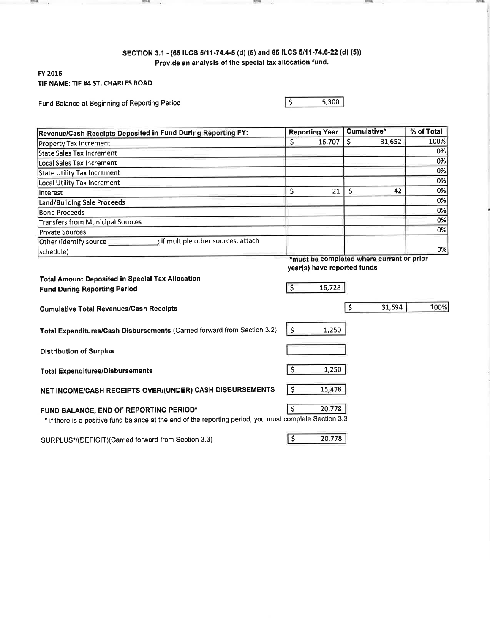# SECTION 3.1 - (65 ILCS 5/11-74.4-5 (d) (5) and 65 ILCS 5/11-74.6-22 (d) (5)) Provide an analysis of the special tax allocation fund.

**Silver Co.** 

## FY 2016 TIF NAME: TIF #4 ST. CHARLES ROAD

 $rac{1}{2}$ 

Fund Balance at Beginning of Reporting Period

 $-$ 

 $5,300$ 

 $\sqrt{5}$ 

Street, -2 **Hursda** 

| Revenue/Cash Receipts Deposited in Fund During Reporting FY:                                                                                      | <b>Reporting Year</b><br>Cumulative* |                                       | % of Total   |                                           |      |
|---------------------------------------------------------------------------------------------------------------------------------------------------|--------------------------------------|---------------------------------------|--------------|-------------------------------------------|------|
| <b>Property Tax Increment</b>                                                                                                                     | \$                                   | 16,707                                | \$           | 31,652                                    | 100% |
| <b>State Sales Tax Increment</b>                                                                                                                  |                                      |                                       |              |                                           | 0%   |
| Local Sales Tax Increment                                                                                                                         |                                      |                                       |              |                                           | 0%   |
| State Utility Tax Increment                                                                                                                       |                                      |                                       |              |                                           | 0%   |
| <b>Local Utility Tax Increment</b>                                                                                                                |                                      |                                       |              |                                           | 0%   |
| Interest                                                                                                                                          | \$                                   | 21                                    | $\mathsf{S}$ | 42                                        | 0%   |
| Land/Building Sale Proceeds                                                                                                                       |                                      |                                       |              |                                           | 0%   |
| <b>Bond Proceeds</b>                                                                                                                              |                                      |                                       |              |                                           | 0%   |
| <b>Transfers from Municipal Sources</b>                                                                                                           |                                      |                                       |              |                                           | 0%   |
| <b>Private Sources</b>                                                                                                                            |                                      |                                       |              |                                           | 0%   |
| Other (identify source in the source set of multiple other sources, attach                                                                        |                                      |                                       |              |                                           |      |
| schedule)                                                                                                                                         |                                      |                                       |              | *must be completed where current or prior | 0%   |
| <b>Total Amount Deposited in Special Tax Allocation</b><br><b>Fund During Reporting Period</b>                                                    | \$                                   | year(s) have reported funds<br>16,728 |              |                                           |      |
| <b>Cumulative Total Revenues/Cash Receipts</b>                                                                                                    |                                      |                                       | \$           | 31,694                                    | 100% |
| Total Expenditures/Cash Disbursements (Carried forward from Section 3.2)                                                                          | $\zeta$                              | 1,250                                 |              |                                           |      |
| <b>Distribution of Surplus</b>                                                                                                                    |                                      |                                       |              |                                           |      |
| <b>Total Expenditures/Disbursements</b>                                                                                                           | $\zeta$                              | 1,250                                 |              |                                           |      |
| NET INCOME/CASH RECEIPTS OVER/(UNDER) CASH DISBURSEMENTS                                                                                          | $\zeta$                              | 15,478                                |              |                                           |      |
| FUND BALANCE, END OF REPORTING PERIOD*<br>* if there is a positive fund balance at the end of the reporting period, you must complete Section 3.3 | $\zeta$                              | 20,778                                |              |                                           |      |
| SURPLUS*/(DEFICIT)(Carried forward from Section 3.3)                                                                                              | $\zeta$                              | 20,778                                |              |                                           |      |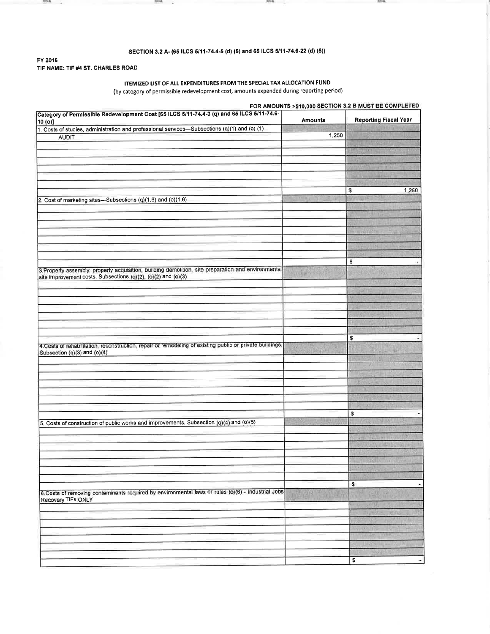#### SECTION 3.2 A- (65 ILCS 5/11-74.4-5 (d) (5) and 65 ILCS 5/11-74.6-22 (d) (5))

 $-20000$ 

**Book** 

#### FY 2016 TIF NAME: TIF #4 ST. CHARLES ROAD

**ROOM** a.

#### ITEMIZED LIST OF ALL EXPENDITURES FROM THE SPECIAL TAX ALLOCATION FUND (by category of permissible redevelopment cost, amounts expended during reporting period)

FOR AMOUNTS >\$10,000 SECTION 3.2 B MUST BE COMPLETED Category of Permissible Redevelopment Cost [65 ILCS 5/11-74.4-3 (q) and 65 ILCS 5/11-74.6-Amounts **Reporting Fiscal Year**  $10(0)$ 1. Costs of studies, administration and professional services-Subsections (q)(1) and (o) (1)  $1,250$ **AUDIT**  $\overline{\mathbf{s}}$ 1,250 2. Cost of marketing sites-Subsections (q)(1.6) and (o)(1.6)  $\pmb{\mathfrak{s}}$ 3. Property assembly: property acquisition, building demolition, site preparation and environmental site improvement costs. Subsections (q)(2), (o)(2) and (o)(3)  $\sqrt{\frac{2}{3}}$ 4. Costs of rehabilitation, reconstruction, repair or remodeling of existing public or private buildings. Subsection (q)(3) and (o)(4)  $\sqrt{3}$ 5. Costs of construction of public works and improvements. Subsection (q)(4) and (o)(5) s 6.Costs of removing contaminants required by environmental laws or rules (o)(6) - Industrial Jobs Recovery TIFs ONLY  $\pmb{\mathfrak{s}}$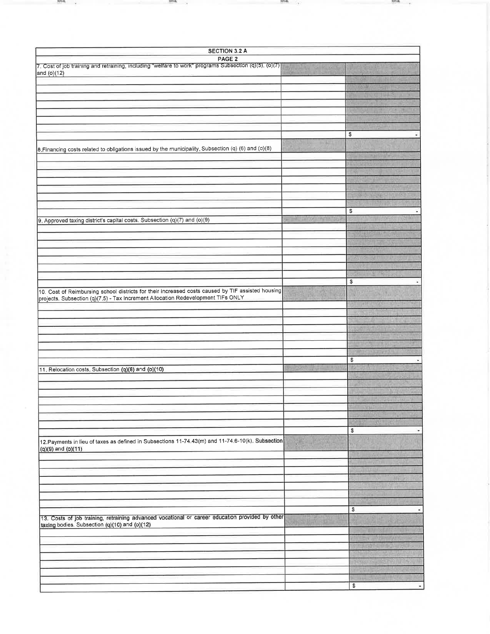| <b>SECTION 3.2 A</b>                                                                                     |  |                     |  |  |
|----------------------------------------------------------------------------------------------------------|--|---------------------|--|--|
| PAGE <sub>2</sub>                                                                                        |  |                     |  |  |
| $7.$ Cost of job training and retraining, including "welfare to work" programs Subsection (q)(5), (o)(7) |  |                     |  |  |
| and (o)(12)                                                                                              |  |                     |  |  |
|                                                                                                          |  |                     |  |  |
|                                                                                                          |  |                     |  |  |
|                                                                                                          |  |                     |  |  |
|                                                                                                          |  |                     |  |  |
|                                                                                                          |  |                     |  |  |
|                                                                                                          |  |                     |  |  |
|                                                                                                          |  | \$                  |  |  |
| 8. Financing costs related to obligations issued by the municipality. Subsection (q) (6) and (o)(8)      |  |                     |  |  |
|                                                                                                          |  |                     |  |  |
|                                                                                                          |  |                     |  |  |
|                                                                                                          |  |                     |  |  |
|                                                                                                          |  |                     |  |  |
|                                                                                                          |  |                     |  |  |
|                                                                                                          |  | <b>URISER</b>       |  |  |
|                                                                                                          |  |                     |  |  |
|                                                                                                          |  | \$                  |  |  |
| 9. Approved taxing district's capital costs. Subsection (q)(7) and (o)(9)                                |  |                     |  |  |
|                                                                                                          |  |                     |  |  |
|                                                                                                          |  |                     |  |  |
|                                                                                                          |  |                     |  |  |
|                                                                                                          |  |                     |  |  |
|                                                                                                          |  |                     |  |  |
|                                                                                                          |  |                     |  |  |
|                                                                                                          |  | \$                  |  |  |
| 10. Cost of Reimbursing school districts for their increased costs caused by TIF assisted housing        |  |                     |  |  |
| projects. Subsection (q)(7.5) - Tax Increment Allocation Redevelopment TIFs ONLY                         |  |                     |  |  |
|                                                                                                          |  |                     |  |  |
|                                                                                                          |  |                     |  |  |
|                                                                                                          |  |                     |  |  |
|                                                                                                          |  |                     |  |  |
|                                                                                                          |  |                     |  |  |
|                                                                                                          |  |                     |  |  |
|                                                                                                          |  | \$                  |  |  |
| 11. Relocation costs. Subsection (q)(8) and (o)(10)                                                      |  |                     |  |  |
|                                                                                                          |  |                     |  |  |
|                                                                                                          |  |                     |  |  |
|                                                                                                          |  |                     |  |  |
|                                                                                                          |  |                     |  |  |
|                                                                                                          |  |                     |  |  |
|                                                                                                          |  |                     |  |  |
|                                                                                                          |  | \$<br>٠             |  |  |
| 12. Payments in lieu of taxes as defined in Subsections 11-74.43(m) and 11-74.6-10(k). Subsection        |  |                     |  |  |
| (q)(9) and (o)(11)                                                                                       |  |                     |  |  |
|                                                                                                          |  |                     |  |  |
|                                                                                                          |  |                     |  |  |
|                                                                                                          |  |                     |  |  |
|                                                                                                          |  |                     |  |  |
|                                                                                                          |  |                     |  |  |
|                                                                                                          |  |                     |  |  |
|                                                                                                          |  | \$<br>$\frac{1}{2}$ |  |  |
| 13. Costs of job training, retraining advanced vocational or career education provided by other          |  |                     |  |  |
| taxing bodies. Subsection (q)(10) and (o)(12)                                                            |  |                     |  |  |
|                                                                                                          |  |                     |  |  |
|                                                                                                          |  |                     |  |  |
|                                                                                                          |  |                     |  |  |
|                                                                                                          |  |                     |  |  |
|                                                                                                          |  |                     |  |  |
|                                                                                                          |  |                     |  |  |
|                                                                                                          |  | $\,$<br>$\bullet$   |  |  |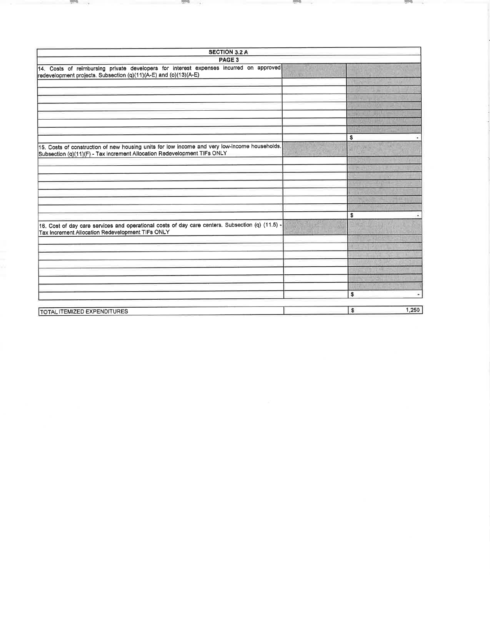| PAGE 3<br>14. Costs of reimbursing private developers for interest expenses incurred on approved<br>redevelopment projects. Subsection (q)(11)(A-E) and (o)(13)(A-E)<br>\$<br>15. Costs of construction of new housing units for low income and very low-income households.<br>Subsection (q)(11)(F) - Tax Increment Allocation Redevelopment TIFs ONLY<br>\$<br>16. Cost of day care services and operational costs of day care centers. Subsection (q) (11.5) -<br>Tax Increment Allocation Redevelopment TIFs ONLY | <b>SECTION 3.2 A</b> |
|-----------------------------------------------------------------------------------------------------------------------------------------------------------------------------------------------------------------------------------------------------------------------------------------------------------------------------------------------------------------------------------------------------------------------------------------------------------------------------------------------------------------------|----------------------|
|                                                                                                                                                                                                                                                                                                                                                                                                                                                                                                                       |                      |
|                                                                                                                                                                                                                                                                                                                                                                                                                                                                                                                       |                      |
|                                                                                                                                                                                                                                                                                                                                                                                                                                                                                                                       |                      |
|                                                                                                                                                                                                                                                                                                                                                                                                                                                                                                                       |                      |
|                                                                                                                                                                                                                                                                                                                                                                                                                                                                                                                       |                      |
|                                                                                                                                                                                                                                                                                                                                                                                                                                                                                                                       |                      |
|                                                                                                                                                                                                                                                                                                                                                                                                                                                                                                                       |                      |
|                                                                                                                                                                                                                                                                                                                                                                                                                                                                                                                       |                      |
|                                                                                                                                                                                                                                                                                                                                                                                                                                                                                                                       |                      |
|                                                                                                                                                                                                                                                                                                                                                                                                                                                                                                                       |                      |
|                                                                                                                                                                                                                                                                                                                                                                                                                                                                                                                       |                      |
|                                                                                                                                                                                                                                                                                                                                                                                                                                                                                                                       |                      |
|                                                                                                                                                                                                                                                                                                                                                                                                                                                                                                                       |                      |
|                                                                                                                                                                                                                                                                                                                                                                                                                                                                                                                       |                      |
|                                                                                                                                                                                                                                                                                                                                                                                                                                                                                                                       |                      |
|                                                                                                                                                                                                                                                                                                                                                                                                                                                                                                                       |                      |
|                                                                                                                                                                                                                                                                                                                                                                                                                                                                                                                       |                      |
|                                                                                                                                                                                                                                                                                                                                                                                                                                                                                                                       |                      |
|                                                                                                                                                                                                                                                                                                                                                                                                                                                                                                                       |                      |
|                                                                                                                                                                                                                                                                                                                                                                                                                                                                                                                       |                      |
|                                                                                                                                                                                                                                                                                                                                                                                                                                                                                                                       |                      |
|                                                                                                                                                                                                                                                                                                                                                                                                                                                                                                                       |                      |
|                                                                                                                                                                                                                                                                                                                                                                                                                                                                                                                       |                      |
|                                                                                                                                                                                                                                                                                                                                                                                                                                                                                                                       |                      |
|                                                                                                                                                                                                                                                                                                                                                                                                                                                                                                                       |                      |
|                                                                                                                                                                                                                                                                                                                                                                                                                                                                                                                       |                      |
|                                                                                                                                                                                                                                                                                                                                                                                                                                                                                                                       |                      |
|                                                                                                                                                                                                                                                                                                                                                                                                                                                                                                                       | \$                   |
| s<br><b>TOTAL ITEMIZED EXPENDITURES</b>                                                                                                                                                                                                                                                                                                                                                                                                                                                                               | 1,250                |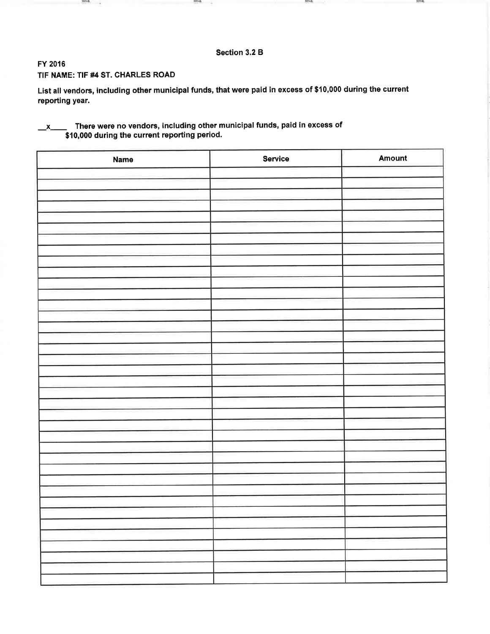## Section 3.2 B

**HOW** 

**STA** 

FY 2016

## TIF NAME: TIF #4 ST. CHARLES ROAD

and a

List all vendors, including other municipal funds, that were paid in excess of \$10,000 during the current reporting year.

#### There were no vendors, including other municipal funds, paid in excess of  $\mathbf{x}$ \$10,000 during the current reporting period.

**COMPA** 

| Name | Service | Amount |
|------|---------|--------|
|      |         |        |
|      |         |        |
|      |         |        |
|      |         |        |
|      |         |        |
|      |         |        |
|      |         |        |
|      |         |        |
|      |         |        |
|      |         |        |
|      |         |        |
|      |         |        |
|      |         |        |
|      |         |        |
|      |         |        |
|      |         |        |
|      |         |        |
|      |         |        |
|      |         |        |
|      |         |        |
|      |         |        |
|      |         |        |
|      |         |        |
|      |         |        |
|      |         |        |
|      |         |        |
|      |         |        |
|      |         |        |
|      |         |        |
|      |         |        |
|      |         |        |
|      |         |        |
|      |         |        |
|      |         |        |
|      |         |        |
|      |         |        |
|      |         |        |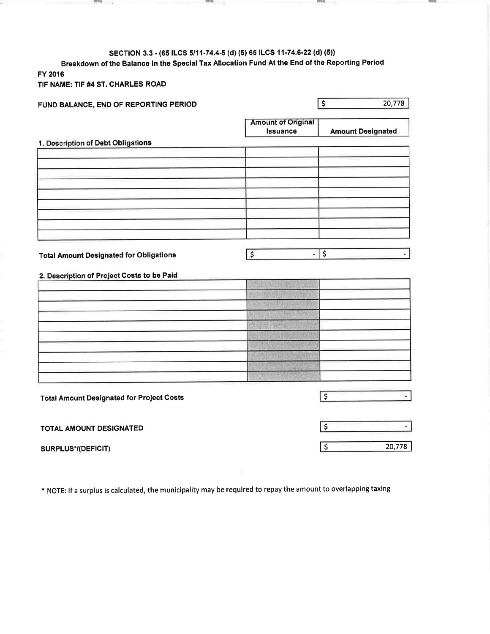# SECTION 3.3 - (65 ILCS 5/11-74.4-5 (d) (5) 65 ILCS 11-74.6-22 (d) (5))

the contract of the contract of the

**The Contract of the Contract of the Contract of The Contract of The Contract of The Contract of The Contract of The Contract of The Contract of The Contract of The Contract of The Contract of The Contract of The Contract** 

Breakdown of the Balance in the Special Tax Allocation Fund At the End of the Reporting Period FY 2016

the company's state of the company's

TIF NAME: TIF #4 ST. CHARLES ROAD

 $\mathbf{r}$ 

| FUND BALANCE, END OF REPORTING PERIOD            | 20,778<br>$\overline{\mathsf{S}}$     |                                           |
|--------------------------------------------------|---------------------------------------|-------------------------------------------|
|                                                  | <b>Amount of Original</b><br>Issuance | <b>Amount Designated</b>                  |
| 1. Description of Debt Obligations               |                                       |                                           |
|                                                  |                                       |                                           |
|                                                  |                                       |                                           |
|                                                  |                                       |                                           |
|                                                  |                                       |                                           |
|                                                  |                                       |                                           |
|                                                  |                                       |                                           |
|                                                  |                                       |                                           |
|                                                  |                                       |                                           |
| <b>Total Amount Designated for Obligations</b>   | \$<br>¥,                              | $\overline{\mathsf{S}}$<br>$\blacksquare$ |
|                                                  |                                       |                                           |
| 2. Description of Project Costs to be Paid       |                                       |                                           |
|                                                  |                                       |                                           |
|                                                  |                                       |                                           |
|                                                  |                                       |                                           |
|                                                  | PLISTEN SKUP                          |                                           |
|                                                  |                                       |                                           |
|                                                  |                                       |                                           |
|                                                  |                                       |                                           |
|                                                  |                                       |                                           |
|                                                  |                                       |                                           |
| <b>Total Amount Designated for Project Costs</b> |                                       | $\overline{\xi}$<br>$\blacksquare$        |
|                                                  |                                       |                                           |
| TOTAL AMOUNT DESIGNATED                          |                                       | $\boldsymbol{\zeta}$<br>$\omega$          |
| SURPLUS*/(DEFICIT)                               |                                       | $\overline{\mathsf{S}}$<br>20,778         |

\* NOTE: If a surplus is calculated, the municipality may be required to repay the amount to overlapping taxing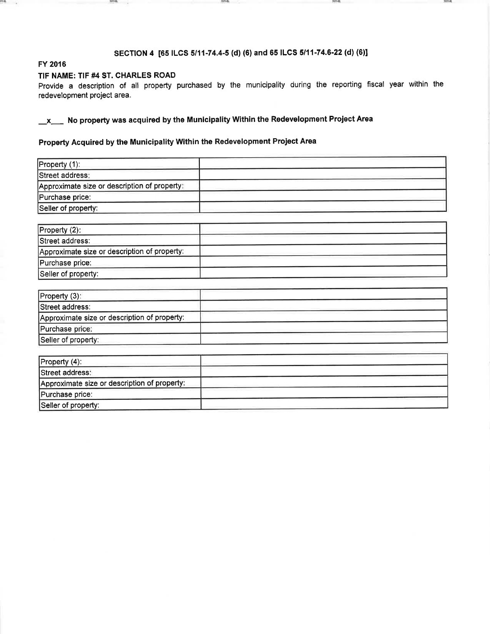## SECTION 4 [65 ILCS 5/11-74.4-5 (d) (6) and 65 ILCS 5/11-74.6-22 (d) (6)]

**SPAR** 

**HANG** 

### FY 2016

m .

## TIF NAME: TIF #4 ST. CHARLES ROAD

 $(100.0)$ -9

Provide a description of all property purchased by the municipality during the reporting fiscal year within the redevelopment project area.

 $x$  No property was acquired by the Municipality Within the Redevelopment Project Area

# Property Acquired by the Municipality Within the Redevelopment Project Area

| Property (2):                                |  |
|----------------------------------------------|--|
| Street address:                              |  |
| Approximate size or description of property: |  |
| Purchase price:                              |  |
| Seller of property:                          |  |

| Property (3):                                |  |
|----------------------------------------------|--|
| Street address:                              |  |
| Approximate size or description of property: |  |
| Purchase price:                              |  |
| Seller of property:                          |  |

| Property (4):                                |  |
|----------------------------------------------|--|
| Street address:                              |  |
| Approximate size or description of property: |  |
| Purchase price:                              |  |
| Seller of property:                          |  |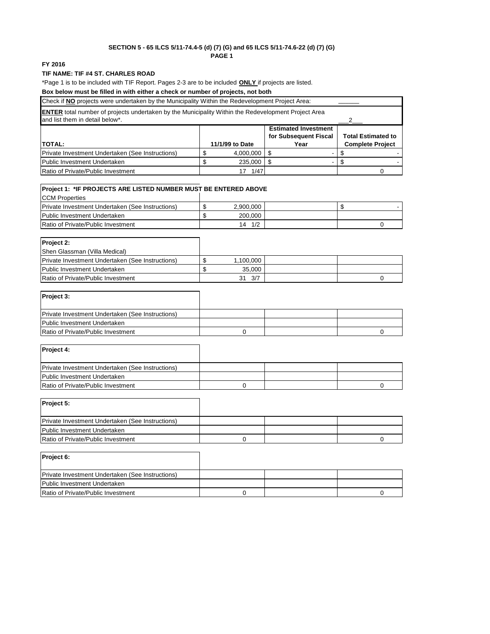#### **SECTION 5 - 65 ILCS 5/11-74.4-5 (d) (7) (G) and 65 ILCS 5/11-74.6-22 (d) (7) (G) PAGE 1**

#### **FY 2016**

#### **TIF NAME: TIF #4 ST. CHARLES ROAD**

\*Page 1 is to be included with TIF Report. Pages 2-3 are to be included **ONLY** if projects are listed.

### **Box below must be filled in with either a check or number of projects, not both**

| Check if NO projects were undertaken by the Municipality Within the Redevelopment Project Area:                                               |  |                 |      |                         |  |
|-----------------------------------------------------------------------------------------------------------------------------------------------|--|-----------------|------|-------------------------|--|
| <b>ENTER</b> total number of projects undertaken by the Municipality Within the Redevelopment Project Area<br>and list them in detail below*. |  |                 |      |                         |  |
| <b>Estimated Investment</b><br>for Subsequent Fiscal<br><b>Total Estimated to</b>                                                             |  |                 |      |                         |  |
| <b>TOTAL:</b>                                                                                                                                 |  | 11/1/99 to Date | Year | <b>Complete Project</b> |  |
| Private Investment Undertaken (See Instructions)                                                                                              |  | 4,000,000       |      |                         |  |
| Public Investment Undertaken                                                                                                                  |  | 235,000         |      |                         |  |
| Ratio of Private/Public Investment                                                                                                            |  | 1/47            |      |                         |  |

# **Project 1: \*IF PROJECTS ARE LISTED NUMBER MUST BE ENTERED ABOVE**

| <b>ICCM Properties</b>                                  |           |  |  |
|---------------------------------------------------------|-----------|--|--|
| <b>Private Investment Undertaken (See Instructions)</b> | 2,900,000 |  |  |
| <b>Public Investment Undertaken</b>                     | 200.000   |  |  |
| Ratio of Private/Public Investment                      | 1/2<br>14 |  |  |

| <b>Project 2:</b>                                       |           |  |
|---------------------------------------------------------|-----------|--|
| Shen Glassman (Villa Medical)                           |           |  |
| <b>Private Investment Undertaken (See Instructions)</b> | 1,100,000 |  |
| Public Investment Undertaken                            | 35.000    |  |
| Ratio of Private/Public Investment                      | 3/7<br>31 |  |

| Project 4:                                       |  |  |
|--------------------------------------------------|--|--|
| Private Investment Undertaken (See Instructions) |  |  |
| Public Investment Undertaken                     |  |  |
| Ratio of Private/Public Investment               |  |  |
|                                                  |  |  |

| Project 5:                                       |  |  |
|--------------------------------------------------|--|--|
| Private Investment Undertaken (See Instructions) |  |  |
| Public Investment Undertaken                     |  |  |
| Ratio of Private/Public Investment               |  |  |
|                                                  |  |  |

| Project 6:                                       |  |  |
|--------------------------------------------------|--|--|
| Private Investment Undertaken (See Instructions) |  |  |
| <b>Public Investment Undertaken</b>              |  |  |
| Ratio of Private/Public Investment               |  |  |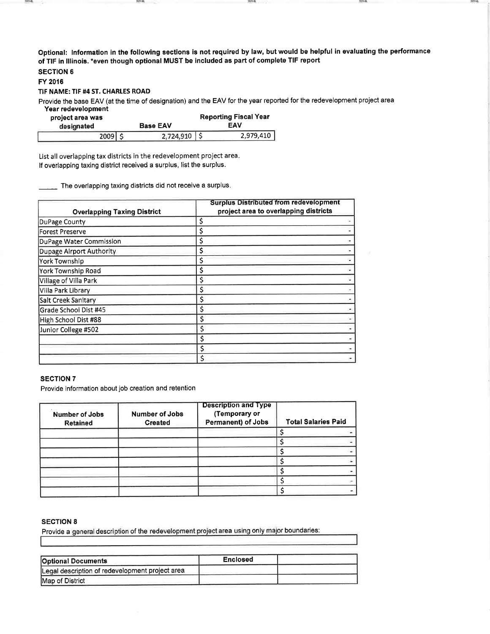Optional: Information in the following sections is not required by law, but would be helpful in evaluating the performance of TIF in Illinois. \*even though optional MUST be included as part of complete TIF report

# **SECTION 6**

FY 2016

2214

#### TIF NAME: TIF #4 ST. CHARLES ROAD

Provide the base EAV (at the time of designation) and the EAV for the year reported for the redevelopment project area

Year redevelopment

| project area was |  | <b>Reporting Fiscal Year</b> |  |           |
|------------------|--|------------------------------|--|-----------|
| designated       |  | EAV<br><b>Base EAV</b>       |  |           |
| 2009             |  | $2,724,910$ \$               |  | 2,979,410 |

List all overlapping tax districts in the redevelopment project area. If overlapping taxing district received a surplus, list the surplus.

The overlapping taxing districts did not receive a surplus.

| <b>Overlapping Taxing District</b> | <b>Surplus Distributed from redevelopment</b><br>project area to overlapping districts |  |  |
|------------------------------------|----------------------------------------------------------------------------------------|--|--|
| DuPage County                      | \$                                                                                     |  |  |
| Forest Preserve                    | \$                                                                                     |  |  |
| DuPage Water Commission            | \$                                                                                     |  |  |
| Dupage Airport Authority           | \$                                                                                     |  |  |
| <b>York Township</b>               | \$                                                                                     |  |  |
| York Township Road                 | \$                                                                                     |  |  |
| Village of Villa Park              | \$                                                                                     |  |  |
| Villa Park Library                 | \$                                                                                     |  |  |
| Salt Creek Sanitary                | $\varsigma$                                                                            |  |  |
| Grade School Dist #45              | \$                                                                                     |  |  |
| High School Dist #88               | \$                                                                                     |  |  |
| Junior College #502                | \$                                                                                     |  |  |
|                                    | \$                                                                                     |  |  |
|                                    | \$                                                                                     |  |  |
|                                    | \$                                                                                     |  |  |

## **SECTION 7**

Provide information about job creation and retention

| Number of Jobs<br>Retained | <b>Number of Jobs</b><br><b>Created</b> | <b>Description and Type</b><br>(Temporary or<br>Permanent) of Jobs | <b>Total Salaries Paid</b> |  |
|----------------------------|-----------------------------------------|--------------------------------------------------------------------|----------------------------|--|
|                            |                                         |                                                                    |                            |  |
|                            |                                         |                                                                    |                            |  |
|                            |                                         |                                                                    |                            |  |
|                            |                                         |                                                                    |                            |  |
|                            |                                         |                                                                    |                            |  |
|                            |                                         |                                                                    |                            |  |
|                            |                                         |                                                                    |                            |  |

#### **SECTION 8**

Provide a general description of the redevelopment project area using only major boundaries:

| <b>Optional Documents</b>                       | <b>Enclosed</b> |  |
|-------------------------------------------------|-----------------|--|
| Legal description of redevelopment project area |                 |  |
| Map of District                                 |                 |  |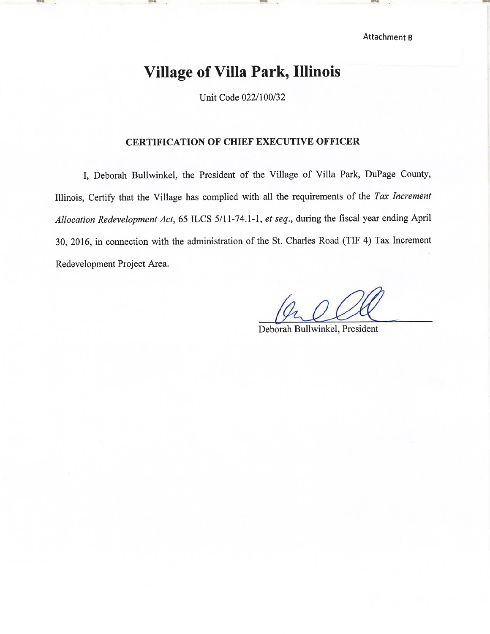Attachment B

# **Village of Villa Park, Illinois**

Unit Code 022/100/32

# **CERTIFICATION OF CHIEF EXECUTIVE OFFICER**

I, Deborah Bullwinkel, the President of the Village of Villa Park, DuPage County, Illinois, Certify that the Village has complied with all the requirements of the Tax Increment Allocation Redevelopment Act, 65 ILCS 5/11-74.1-1, et seq., during the fiscal year ending April 30, 2016, in connection with the administration of the St. Charles Road (TIF 4) Tax Increment Redevelopment Project Area.

Deborah Bullwinkel, President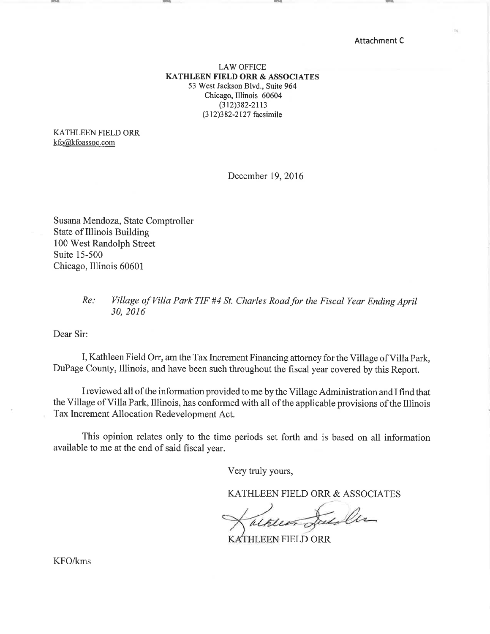**Attachment C** 

## **LAW OFFICE KATHLEEN FIELD ORR & ASSOCIATES** 53 West Jackson Blvd., Suite 964 Chicago, Illinois 60604  $(312)382 - 2113$ (312)382-2127 facsimile

KATHLEEN FIELD ORR kfo@kfoassoc.com

December 19, 2016

Susana Mendoza, State Comptroller State of Illinois Building 100 West Randolph Street Suite 15-500 Chicago, Illinois 60601

#### Village of Villa Park TIF #4 St. Charles Road for the Fiscal Year Ending April  $Re:$ 30, 2016

Dear Sir:

I, Kathleen Field Orr, am the Tax Increment Financing attorney for the Village of Villa Park, DuPage County, Illinois, and have been such throughout the fiscal year covered by this Report.

I reviewed all of the information provided to me by the Village Administration and I find that the Village of Villa Park, Illinois, has conformed with all of the applicable provisions of the Illinois Tax Increment Allocation Redevelopment Act.

This opinion relates only to the time periods set forth and is based on all information available to me at the end of said fiscal year.

Very truly yours,

KATHLEEN FIELD ORR & ASSOCIATES

KATHLEEN FIELD ORR

KFO/kms